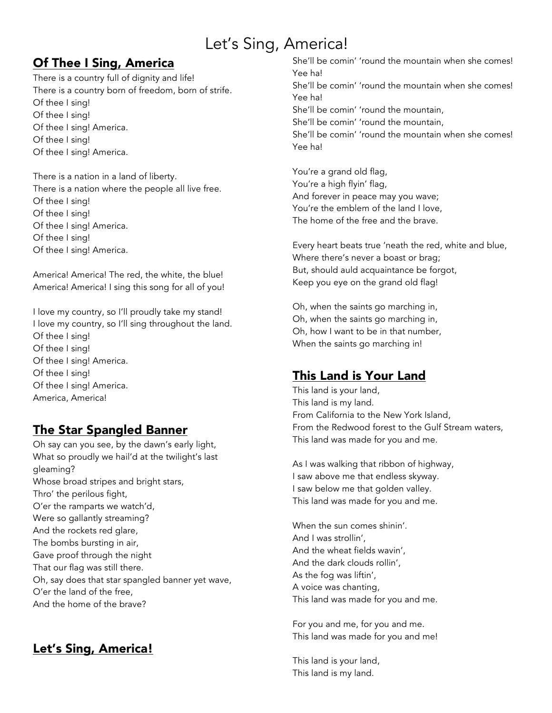# Let's Sing, America!

## Of Thee I Sing, America

There is a country full of dignity and life! There is a country born of freedom, born of strife. Of thee I sing! Of thee I sing! Of thee I sing! America. Of thee I sing! Of thee I sing! America.

There is a nation in a land of liberty. There is a nation where the people all live free. Of thee I sing! Of thee I sing! Of thee I sing! America. Of thee I sing! Of thee I sing! America.

America! America! The red, the white, the blue! America! America! I sing this song for all of you!

I love my country, so I'll proudly take my stand! I love my country, so I'll sing throughout the land. Of thee I sing! Of thee I sing! Of thee I sing! America. Of thee I sing! Of thee I sing! America. America, America!

### The Star Spangled Banner

Oh say can you see, by the dawn's early light, What so proudly we hail'd at the twilight's last gleaming? Whose broad stripes and bright stars, Thro' the perilous fight, O'er the ramparts we watch'd, Were so gallantly streaming? And the rockets red glare, The bombs bursting in air, Gave proof through the night That our flag was still there. Oh, say does that star spangled banner yet wave, O'er the land of the free, And the home of the brave?

### Let's Sing, America!

She'll be comin' 'round the mountain when she comes! Yee ha! She'll be comin' 'round the mountain when she comes! Yee ha! She'll be comin' 'round the mountain, She'll be comin' 'round the mountain, She'll be comin' 'round the mountain when she comes! Yee ha!

You're a grand old flag, You're a high flyin' flag, And forever in peace may you wave; You're the emblem of the land I love, The home of the free and the brave.

Every heart beats true 'neath the red, white and blue, Where there's never a boast or brag; But, should auld acquaintance be forgot, Keep you eye on the grand old flag!

Oh, when the saints go marching in, Oh, when the saints go marching in, Oh, how I want to be in that number, When the saints go marching in!

### This Land is Your Land

This land is your land, This land is my land. From California to the New York Island, From the Redwood forest to the Gulf Stream waters, This land was made for you and me.

As I was walking that ribbon of highway, I saw above me that endless skyway. I saw below me that golden valley. This land was made for you and me.

When the sun comes shinin'. And I was strollin', And the wheat fields wavin', And the dark clouds rollin', As the fog was liftin', A voice was chanting, This land was made for you and me.

For you and me, for you and me. This land was made for you and me!

This land is your land, This land is my land.